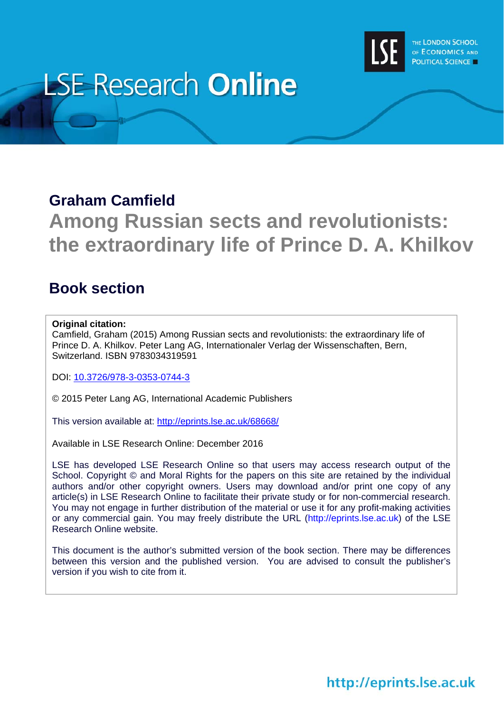

# **LSE Research Online**

#### **Graham Camfield**

## **Among Russian sects and revolutionists: the extraordinary life of Prince D. A. Khilkov**

#### **Book section**

#### **Original citation:**

Camfield, Graham (2015) Among Russian sects and revolutionists: the extraordinary life of Prince D. A. Khilkov. Peter Lang AG, Internationaler Verlag der Wissenschaften, Bern, Switzerland. ISBN 9783034319591

DOI: 10.3726/978-3-0353-0744-3

© 2015 Peter Lang AG, International Academic Publishers

This version available at: http://eprints.lse.ac.uk/68668/

Available in LSE Research Online: December 2016

LSE has developed LSE Research Online so that users may access research output of the School. Copyright © and Moral Rights for the papers on this site are retained by the individual authors and/or other copyright owners. Users may download and/or print one copy of any article(s) in LSE Research Online to facilitate their private study or for non-commercial research. You may not engage in further distribution of the material or use it for any profit-making activities or any commercial gain. You may freely distribute the URL (http://eprints.lse.ac.uk) of the LSE Research Online website.

This document is the author's submitted version of the book section. There may be differences between this version and the published version. You are advised to consult the publisher's version if you wish to cite from it.

### http://eprints.lse.ac.uk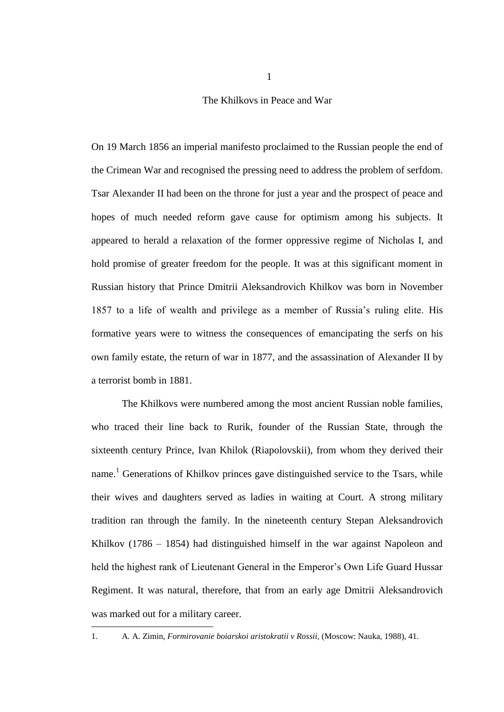The Khilkovs in Peace and War

On 19 March 1856 an imperial manifesto proclaimed to the Russian people the end of the Crimean War and recognised the pressing need to address the problem of serfdom. Tsar Alexander II had been on the throne for just a year and the prospect of peace and hopes of much needed reform gave cause for optimism among his subjects. It appeared to herald a relaxation of the former oppressive regime of Nicholas I, and hold promise of greater freedom for the people. It was at this significant moment in Russian history that Prince Dmitrii Aleksandrovich Khilkov was born in November 1857 to a life of wealth and privilege as a member of Russia's ruling elite. His formative years were to witness the consequences of emancipating the serfs on his own family estate, the return of war in 1877, and the assassination of Alexander II by a terrorist bomb in 1881.

The Khilkovs were numbered among the most ancient Russian noble families, who traced their line back to Rurik, founder of the Russian State, through the sixteenth century Prince, Ivan Khilok (Riapolovskii), from whom they derived their name.<sup>1</sup> Generations of Khilkov princes gave distinguished service to the Tsars, while their wives and daughters served as ladies in waiting at Court. A strong military tradition ran through the family. In the nineteenth century Stepan Aleksandrovich Khilkov (1786 – 1854) had distinguished himself in the war against Napoleon and held the highest rank of Lieutenant General in the Emperor's Own Life Guard Hussar Regiment. It was natural, therefore, that from an early age Dmitrii Aleksandrovich was marked out for a military career.

<sup>1.</sup> A. A. Zimin, *Formirovanie boiarskoi aristokratii v Rossii*, (Moscow: Nauka, 1988), 41.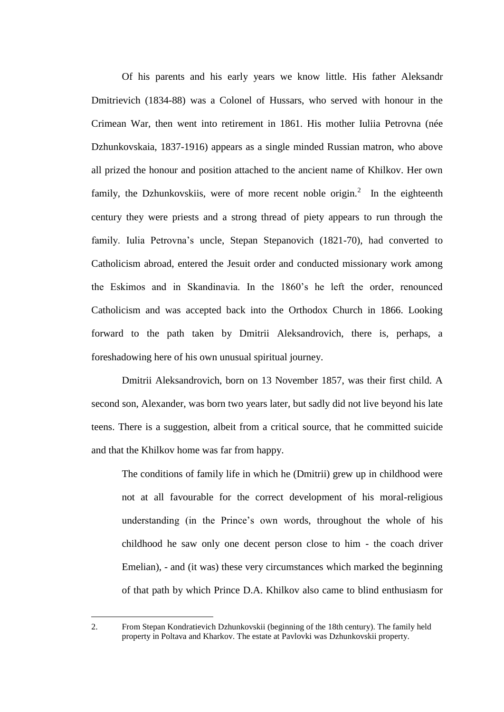Of his parents and his early years we know little. His father Aleksandr Dmitrievich (1834-88) was a Colonel of Hussars, who served with honour in the Crimean War, then went into retirement in 1861. His mother Iuliia Petrovna (née Dzhunkovskaia, 1837-1916) appears as a single minded Russian matron, who above all prized the honour and position attached to the ancient name of Khilkov. Her own family, the Dzhunkovskiis, were of more recent noble origin.<sup>2</sup> In the eighteenth century they were priests and a strong thread of piety appears to run through the family. Iulia Petrovna's uncle, Stepan Stepanovich (1821-70), had converted to Catholicism abroad, entered the Jesuit order and conducted missionary work among the Eskimos and in Skandinavia. In the 1860's he left the order, renounced Catholicism and was accepted back into the Orthodox Church in 1866. Looking forward to the path taken by Dmitrii Aleksandrovich, there is, perhaps, a foreshadowing here of his own unusual spiritual journey.

Dmitrii Aleksandrovich, born on 13 November 1857, was their first child. A second son, Alexander, was born two years later, but sadly did not live beyond his late teens. There is a suggestion, albeit from a critical source, that he committed suicide and that the Khilkov home was far from happy.

The conditions of family life in which he (Dmitrii) grew up in childhood were not at all favourable for the correct development of his moral-religious understanding (in the Prince's own words, throughout the whole of his childhood he saw only one decent person close to him - the coach driver Emelian), - and (it was) these very circumstances which marked the beginning of that path by which Prince D.A. Khilkov also came to blind enthusiasm for

<sup>2.</sup> From Stepan Kondratievich Dzhunkovskii (beginning of the 18th century). The family held property in Poltava and Kharkov. The estate at Pavlovki was Dzhunkovskii property.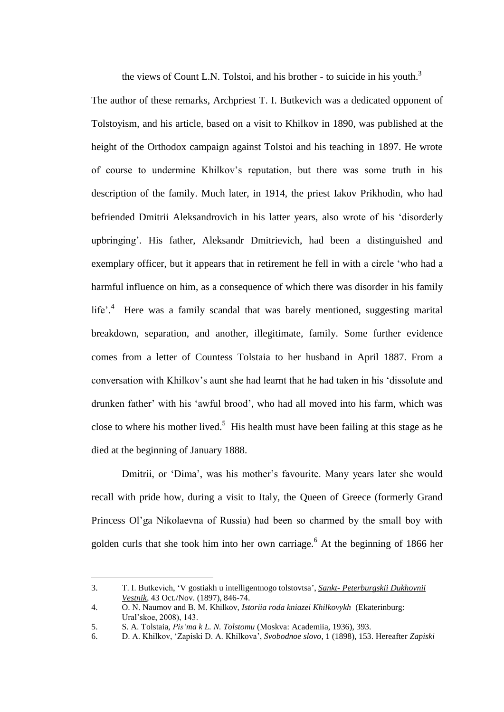the views of Count L.N. Tolstoi, and his brother - to suicide in his youth.<sup>3</sup>

The author of these remarks, Archpriest T. I. Butkevich was a dedicated opponent of Tolstoyism, and his article, based on a visit to Khilkov in 1890, was published at the height of the Orthodox campaign against Tolstoi and his teaching in 1897. He wrote of course to undermine Khilkov's reputation, but there was some truth in his description of the family. Much later, in 1914, the priest Iakov Prikhodin, who had befriended Dmitrii Aleksandrovich in his latter years, also wrote of his 'disorderly upbringing'. His father, Aleksandr Dmitrievich, had been a distinguished and exemplary officer, but it appears that in retirement he fell in with a circle 'who had a harmful influence on him, as a consequence of which there was disorder in his family life'.<sup>4</sup> Here was a family scandal that was barely mentioned, suggesting marital breakdown, separation, and another, illegitimate, family. Some further evidence comes from a letter of Countess Tolstaia to her husband in April 1887. From a conversation with Khilkov's aunt she had learnt that he had taken in his 'dissolute and drunken father' with his 'awful brood', who had all moved into his farm, which was close to where his mother lived.<sup>5</sup> His health must have been failing at this stage as he died at the beginning of January 1888.

Dmitrii, or 'Dima', was his mother's favourite. Many years later she would recall with pride how, during a visit to Italy, the Queen of Greece (formerly Grand Princess Ol'ga Nikolaevna of Russia) had been so charmed by the small boy with golden curls that she took him into her own carriage.<sup>6</sup> At the beginning of 1866 her

<sup>3.</sup> T. I. Butkevich, 'V gostiakh u intelligentnogo tolstovtsa', *Sankt- Peterburgskii Dukhovnii Vestnik*, 43 Oct./Nov. (1897), 846-74.

<sup>4.</sup> O. N. Naumov and B. M. Khilkov, *Istoriia roda kniazei Khilkovykh* (Ekaterinburg: Ural'skoe, 2008), 143.

<sup>5.</sup> S. A. Tolstaia, *Pis'ma k L. N. Tolstomu* (Moskva: Academiia, 1936), 393.

<sup>6.</sup> D. A. Khilkov, 'Zapiski D. A. Khilkova', *Svobodnoe slovo*, 1 (1898), 153. Hereafter *Zapiski*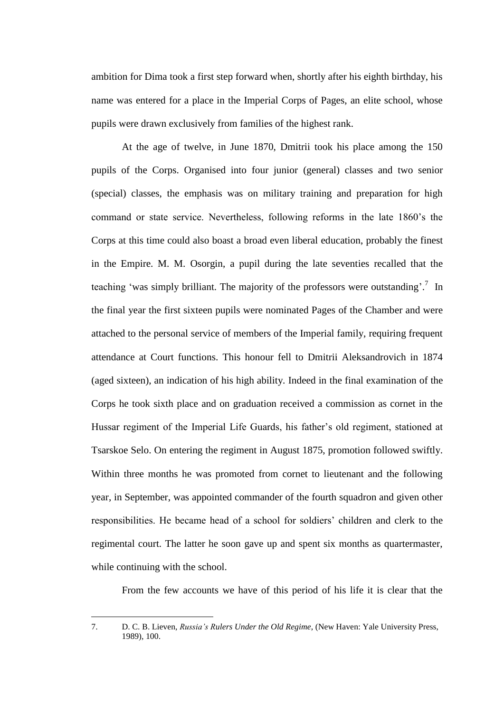ambition for Dima took a first step forward when, shortly after his eighth birthday, his name was entered for a place in the Imperial Corps of Pages, an elite school, whose pupils were drawn exclusively from families of the highest rank.

At the age of twelve, in June 1870, Dmitrii took his place among the 150 pupils of the Corps. Organised into four junior (general) classes and two senior (special) classes, the emphasis was on military training and preparation for high command or state service. Nevertheless, following reforms in the late 1860's the Corps at this time could also boast a broad even liberal education, probably the finest in the Empire. M. M. Osorgin, a pupil during the late seventies recalled that the teaching 'was simply brilliant. The majority of the professors were outstanding'.<sup>7</sup> In the final year the first sixteen pupils were nominated Pages of the Chamber and were attached to the personal service of members of the Imperial family, requiring frequent attendance at Court functions. This honour fell to Dmitrii Aleksandrovich in 1874 (aged sixteen), an indication of his high ability. Indeed in the final examination of the Corps he took sixth place and on graduation received a commission as cornet in the Hussar regiment of the Imperial Life Guards, his father's old regiment, stationed at Tsarskoe Selo. On entering the regiment in August 1875, promotion followed swiftly. Within three months he was promoted from cornet to lieutenant and the following year, in September, was appointed commander of the fourth squadron and given other responsibilities. He became head of a school for soldiers' children and clerk to the regimental court. The latter he soon gave up and spent six months as quartermaster, while continuing with the school.

From the few accounts we have of this period of his life it is clear that the

<sup>7.</sup> D. C. B. Lieven, *Russia's Rulers Under the Old Regime*, (New Haven: Yale University Press, 1989), 100.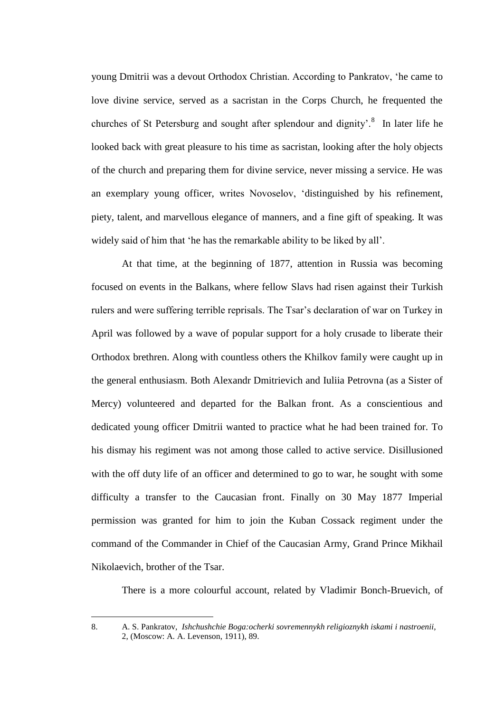young Dmitrii was a devout Orthodox Christian. According to Pankratov, 'he came to love divine service, served as a sacristan in the Corps Church, he frequented the churches of St Petersburg and sought after splendour and dignity'.<sup>8</sup> In later life he looked back with great pleasure to his time as sacristan, looking after the holy objects of the church and preparing them for divine service, never missing a service. He was an exemplary young officer, writes Novoselov, 'distinguished by his refinement, piety, talent, and marvellous elegance of manners, and a fine gift of speaking. It was widely said of him that 'he has the remarkable ability to be liked by all'.

At that time, at the beginning of 1877, attention in Russia was becoming focused on events in the Balkans, where fellow Slavs had risen against their Turkish rulers and were suffering terrible reprisals. The Tsar's declaration of war on Turkey in April was followed by a wave of popular support for a holy crusade to liberate their Orthodox brethren. Along with countless others the Khilkov family were caught up in the general enthusiasm. Both Alexandr Dmitrievich and Iuliia Petrovna (as a Sister of Mercy) volunteered and departed for the Balkan front. As a conscientious and dedicated young officer Dmitrii wanted to practice what he had been trained for. To his dismay his regiment was not among those called to active service. Disillusioned with the off duty life of an officer and determined to go to war, he sought with some difficulty a transfer to the Caucasian front. Finally on 30 May 1877 Imperial permission was granted for him to join the Kuban Cossack regiment under the command of the Commander in Chief of the Caucasian Army, Grand Prince Mikhail Nikolaevich, brother of the Tsar.

There is a more colourful account, related by Vladimir Bonch-Bruevich, of

<sup>8.</sup> A. S. Pankratov, *Ishchushchie Boga:ocherki sovremennykh religioznykh iskami i nastroenii*, 2, (Moscow: A. A. Levenson, 1911), 89.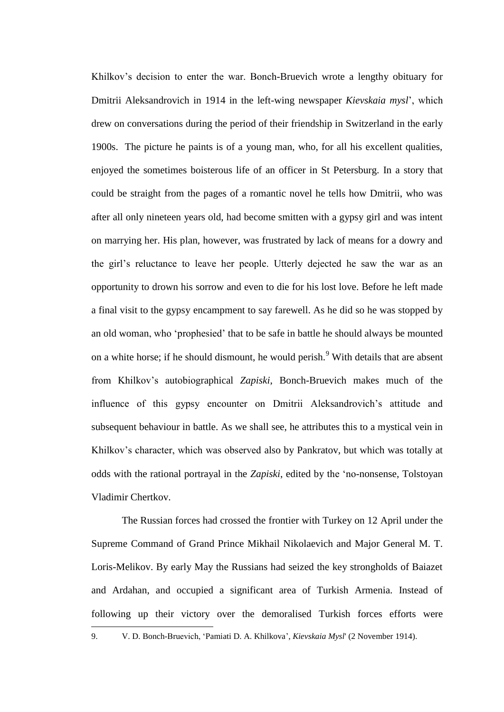Khilkov's decision to enter the war. Bonch-Bruevich wrote a lengthy obituary for Dmitrii Aleksandrovich in 1914 in the left-wing newspaper *Kievskaia mysl*', which drew on conversations during the period of their friendship in Switzerland in the early 1900s. The picture he paints is of a young man, who, for all his excellent qualities, enjoyed the sometimes boisterous life of an officer in St Petersburg. In a story that could be straight from the pages of a romantic novel he tells how Dmitrii, who was after all only nineteen years old, had become smitten with a gypsy girl and was intent on marrying her. His plan, however, was frustrated by lack of means for a dowry and the girl's reluctance to leave her people. Utterly dejected he saw the war as an opportunity to drown his sorrow and even to die for his lost love. Before he left made a final visit to the gypsy encampment to say farewell. As he did so he was stopped by an old woman, who 'prophesied' that to be safe in battle he should always be mounted on a white horse; if he should dismount, he would perish.<sup>9</sup> With details that are absent from Khilkov's autobiographical *Zapiski*, Bonch-Bruevich makes much of the influence of this gypsy encounter on Dmitrii Aleksandrovich's attitude and subsequent behaviour in battle. As we shall see, he attributes this to a mystical vein in Khilkov's character, which was observed also by Pankratov, but which was totally at odds with the rational portrayal in the *Zapiski*, edited by the 'no-nonsense, Tolstoyan Vladimir Chertkov.

The Russian forces had crossed the frontier with Turkey on 12 April under the Supreme Command of Grand Prince Mikhail Nikolaevich and Major General M. T. Loris-Melikov. By early May the Russians had seized the key strongholds of Baiazet and Ardahan, and occupied a significant area of Turkish Armenia. Instead of following up their victory over the demoralised Turkish forces efforts were <u>—</u>

<sup>9.</sup> V. D. Bonch-Bruevich, 'Pamiati D. A. Khilkova', *Kievskaia Mysl*' (2 November 1914).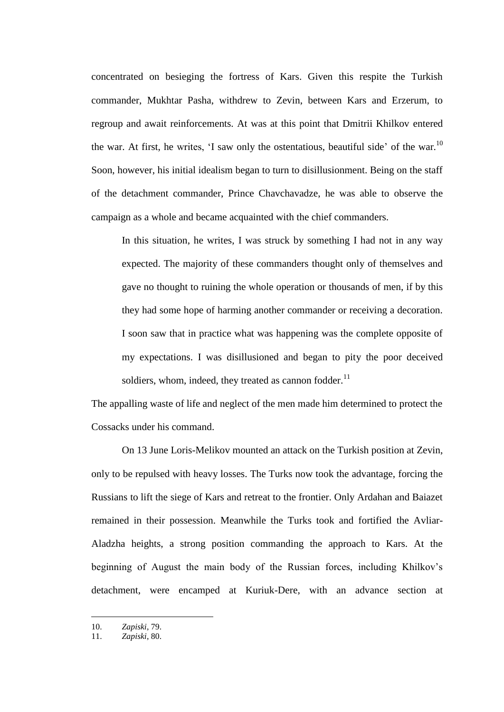concentrated on besieging the fortress of Kars. Given this respite the Turkish commander, Mukhtar Pasha, withdrew to Zevin, between Kars and Erzerum, to regroup and await reinforcements. At was at this point that Dmitrii Khilkov entered the war. At first, he writes, 'I saw only the ostentatious, beautiful side' of the war.<sup>10</sup> Soon, however, his initial idealism began to turn to disillusionment. Being on the staff of the detachment commander, Prince Chavchavadze, he was able to observe the campaign as a whole and became acquainted with the chief commanders.

In this situation, he writes, I was struck by something I had not in any way expected. The majority of these commanders thought only of themselves and gave no thought to ruining the whole operation or thousands of men, if by this they had some hope of harming another commander or receiving a decoration. I soon saw that in practice what was happening was the complete opposite of my expectations. I was disillusioned and began to pity the poor deceived soldiers, whom, indeed, they treated as cannon fodder. $^{11}$ 

The appalling waste of life and neglect of the men made him determined to protect the Cossacks under his command.

On 13 June Loris-Melikov mounted an attack on the Turkish position at Zevin, only to be repulsed with heavy losses. The Turks now took the advantage, forcing the Russians to lift the siege of Kars and retreat to the frontier. Only Ardahan and Baiazet remained in their possession. Meanwhile the Turks took and fortified the Avliar-Aladzha heights, a strong position commanding the approach to Kars. At the beginning of August the main body of the Russian forces, including Khilkov's detachment, were encamped at Kuriuk-Dere, with an advance section at

<sup>10.</sup> *Zapiski*, 79.

<sup>11.</sup> *Zapiski*, 80.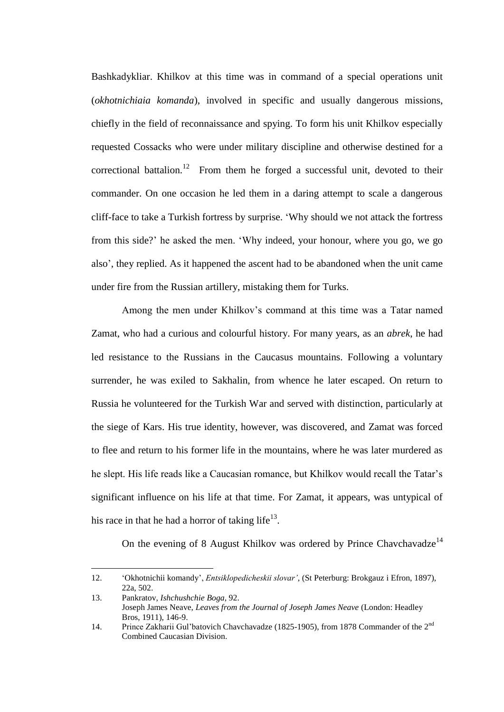Bashkadykliar. Khilkov at this time was in command of a special operations unit (*okhotnichiaia komanda*), involved in specific and usually dangerous missions, chiefly in the field of reconnaissance and spying. To form his unit Khilkov especially requested Cossacks who were under military discipline and otherwise destined for a correctional battalion.<sup>12</sup> From them he forged a successful unit, devoted to their commander. On one occasion he led them in a daring attempt to scale a dangerous cliff-face to take a Turkish fortress by surprise. 'Why should we not attack the fortress from this side?' he asked the men. 'Why indeed, your honour, where you go, we go also', they replied. As it happened the ascent had to be abandoned when the unit came under fire from the Russian artillery, mistaking them for Turks.

Among the men under Khilkov's command at this time was a Tatar named Zamat, who had a curious and colourful history. For many years, as an *abrek*, he had led resistance to the Russians in the Caucasus mountains. Following a voluntary surrender, he was exiled to Sakhalin, from whence he later escaped. On return to Russia he volunteered for the Turkish War and served with distinction, particularly at the siege of Kars. His true identity, however, was discovered, and Zamat was forced to flee and return to his former life in the mountains, where he was later murdered as he slept. His life reads like a Caucasian romance, but Khilkov would recall the Tatar's significant influence on his life at that time. For Zamat, it appears, was untypical of his race in that he had a horror of taking life $^{13}$ .

On the evening of 8 August Khilkov was ordered by Prince Chavchavadze<sup>14</sup>

<sup>12.</sup> 'Okhotnichii komandy', *Entsiklopedicheskii slovar'*, (St Peterburg: Brokgauz i Efron, 1897), 22a, 502.

<sup>13.</sup> Pankratov, *Ishchushchie Boga*, 92. Joseph James Neave, *Leaves from the Journal of Joseph James Neave* (London: Headley Bros, 1911), 146-9.

<sup>14.</sup> Prince Zakharii Gul'batovich Chavchavadze (1825-1905), from 1878 Commander of the 2<sup>nd</sup> Combined Caucasian Division.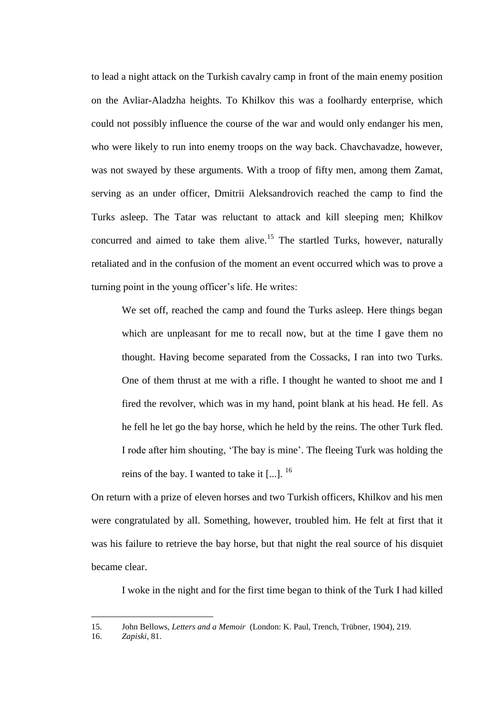to lead a night attack on the Turkish cavalry camp in front of the main enemy position on the Avliar-Aladzha heights. To Khilkov this was a foolhardy enterprise, which could not possibly influence the course of the war and would only endanger his men, who were likely to run into enemy troops on the way back. Chavchavadze, however, was not swayed by these arguments. With a troop of fifty men, among them Zamat, serving as an under officer, Dmitrii Aleksandrovich reached the camp to find the Turks asleep. The Tatar was reluctant to attack and kill sleeping men; Khilkov concurred and aimed to take them alive.<sup>15</sup> The startled Turks, however, naturally retaliated and in the confusion of the moment an event occurred which was to prove a turning point in the young officer's life. He writes:

We set off, reached the camp and found the Turks asleep. Here things began which are unpleasant for me to recall now, but at the time I gave them no thought. Having become separated from the Cossacks, I ran into two Turks. One of them thrust at me with a rifle. I thought he wanted to shoot me and I fired the revolver, which was in my hand, point blank at his head. He fell. As he fell he let go the bay horse, which he held by the reins. The other Turk fled. I rode after him shouting, 'The bay is mine'. The fleeing Turk was holding the reins of the bay. I wanted to take it  $[\,...]$ . <sup>16</sup>

On return with a prize of eleven horses and two Turkish officers, Khilkov and his men were congratulated by all. Something, however, troubled him. He felt at first that it was his failure to retrieve the bay horse, but that night the real source of his disquiet became clear.

I woke in the night and for the first time began to think of the Turk I had killed

<sup>15.</sup> John Bellows, *Letters and a Memoir* (London: K. Paul, Trench, Trübner, 1904), 219.

<sup>16.</sup> *Zapiski*, 81.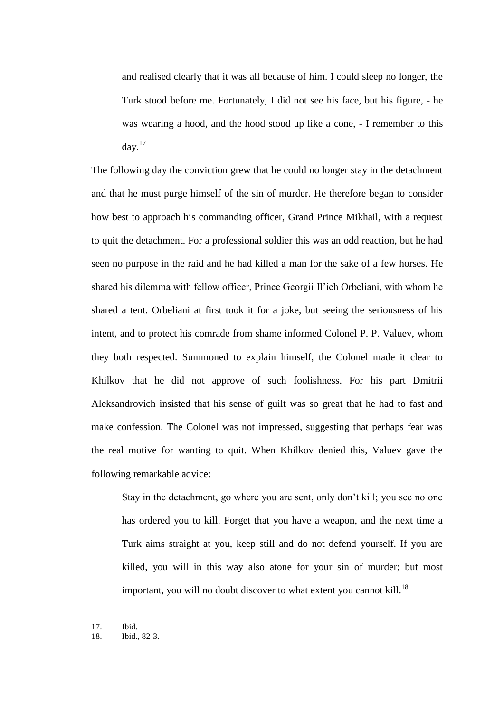and realised clearly that it was all because of him. I could sleep no longer, the Turk stood before me. Fortunately, I did not see his face, but his figure, - he was wearing a hood, and the hood stood up like a cone, - I remember to this  $day.<sup>17</sup>$ 

The following day the conviction grew that he could no longer stay in the detachment and that he must purge himself of the sin of murder. He therefore began to consider how best to approach his commanding officer, Grand Prince Mikhail, with a request to quit the detachment. For a professional soldier this was an odd reaction, but he had seen no purpose in the raid and he had killed a man for the sake of a few horses. He shared his dilemma with fellow officer, Prince Georgii Il'ich Orbeliani, with whom he shared a tent. Orbeliani at first took it for a joke, but seeing the seriousness of his intent, and to protect his comrade from shame informed Colonel P. P. Valuev, whom they both respected. Summoned to explain himself, the Colonel made it clear to Khilkov that he did not approve of such foolishness. For his part Dmitrii Aleksandrovich insisted that his sense of guilt was so great that he had to fast and make confession. The Colonel was not impressed, suggesting that perhaps fear was the real motive for wanting to quit. When Khilkov denied this, Valuev gave the following remarkable advice:

Stay in the detachment, go where you are sent, only don't kill; you see no one has ordered you to kill. Forget that you have a weapon, and the next time a Turk aims straight at you, keep still and do not defend yourself. If you are killed, you will in this way also atone for your sin of murder; but most important, you will no doubt discover to what extent you cannot kill.<sup>18</sup>

<sup>17.</sup> Ibid.

<sup>18.</sup> Ibid., 82-3.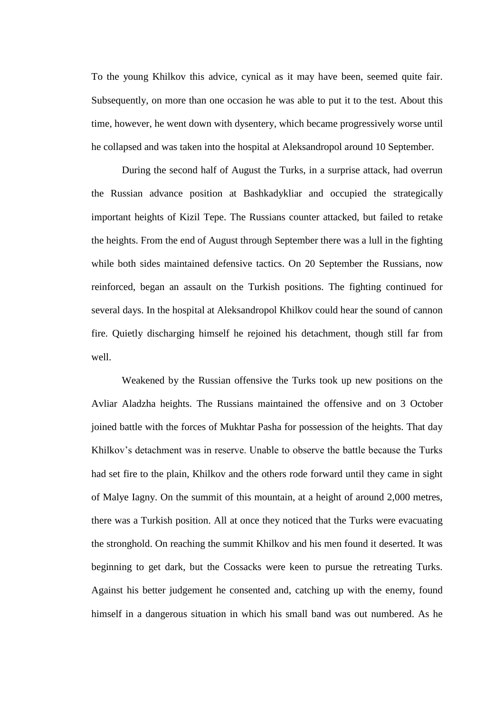To the young Khilkov this advice, cynical as it may have been, seemed quite fair. Subsequently, on more than one occasion he was able to put it to the test. About this time, however, he went down with dysentery, which became progressively worse until he collapsed and was taken into the hospital at Aleksandropol around 10 September.

During the second half of August the Turks, in a surprise attack, had overrun the Russian advance position at Bashkadykliar and occupied the strategically important heights of Kizil Tepe. The Russians counter attacked, but failed to retake the heights. From the end of August through September there was a lull in the fighting while both sides maintained defensive tactics. On 20 September the Russians, now reinforced, began an assault on the Turkish positions. The fighting continued for several days. In the hospital at Aleksandropol Khilkov could hear the sound of cannon fire. Quietly discharging himself he rejoined his detachment, though still far from well.

Weakened by the Russian offensive the Turks took up new positions on the Avliar Aladzha heights. The Russians maintained the offensive and on 3 October joined battle with the forces of Mukhtar Pasha for possession of the heights. That day Khilkov's detachment was in reserve. Unable to observe the battle because the Turks had set fire to the plain, Khilkov and the others rode forward until they came in sight of Malye Iagny. On the summit of this mountain, at a height of around 2,000 metres, there was a Turkish position. All at once they noticed that the Turks were evacuating the stronghold. On reaching the summit Khilkov and his men found it deserted. It was beginning to get dark, but the Cossacks were keen to pursue the retreating Turks. Against his better judgement he consented and, catching up with the enemy, found himself in a dangerous situation in which his small band was out numbered. As he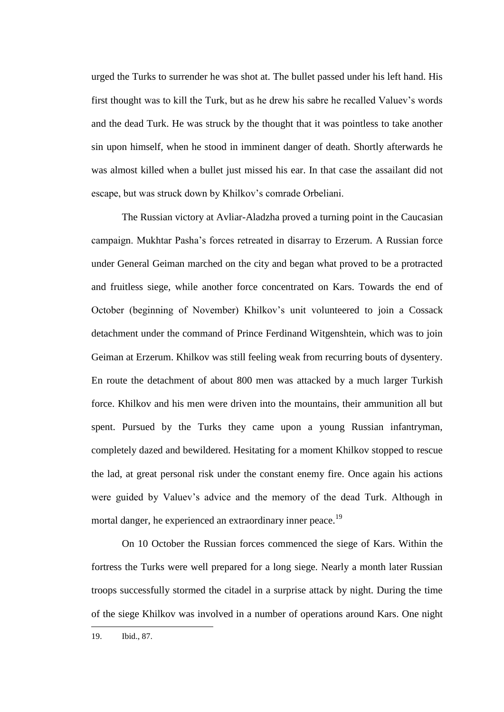urged the Turks to surrender he was shot at. The bullet passed under his left hand. His first thought was to kill the Turk, but as he drew his sabre he recalled Valuev's words and the dead Turk. He was struck by the thought that it was pointless to take another sin upon himself, when he stood in imminent danger of death. Shortly afterwards he was almost killed when a bullet just missed his ear. In that case the assailant did not escape, but was struck down by Khilkov's comrade Orbeliani.

The Russian victory at Avliar-Aladzha proved a turning point in the Caucasian campaign. Mukhtar Pasha's forces retreated in disarray to Erzerum. A Russian force under General Geiman marched on the city and began what proved to be a protracted and fruitless siege, while another force concentrated on Kars. Towards the end of October (beginning of November) Khilkov's unit volunteered to join a Cossack detachment under the command of Prince Ferdinand Witgenshtein, which was to join Geiman at Erzerum. Khilkov was still feeling weak from recurring bouts of dysentery. En route the detachment of about 800 men was attacked by a much larger Turkish force. Khilkov and his men were driven into the mountains, their ammunition all but spent. Pursued by the Turks they came upon a young Russian infantryman, completely dazed and bewildered. Hesitating for a moment Khilkov stopped to rescue the lad, at great personal risk under the constant enemy fire. Once again his actions were guided by Valuev's advice and the memory of the dead Turk. Although in mortal danger, he experienced an extraordinary inner peace.<sup>19</sup>

On 10 October the Russian forces commenced the siege of Kars. Within the fortress the Turks were well prepared for a long siege. Nearly a month later Russian troops successfully stormed the citadel in a surprise attack by night. During the time of the siege Khilkov was involved in a number of operations around Kars. One night

<sup>19.</sup> Ibid., 87.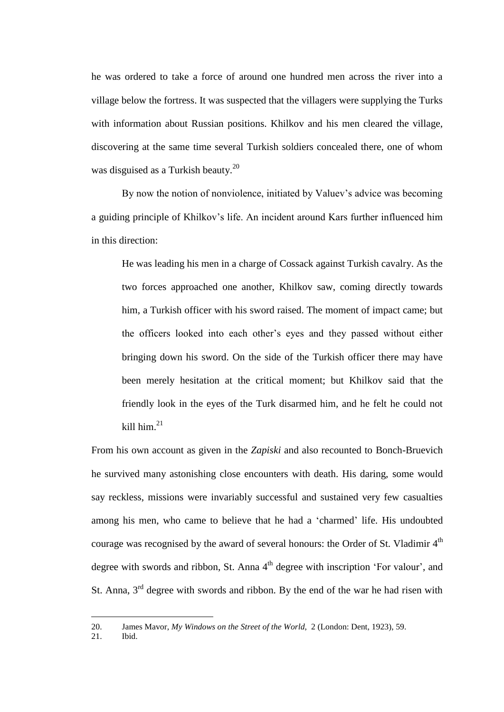he was ordered to take a force of around one hundred men across the river into a village below the fortress. It was suspected that the villagers were supplying the Turks with information about Russian positions. Khilkov and his men cleared the village, discovering at the same time several Turkish soldiers concealed there, one of whom was disguised as a Turkish beauty.<sup>20</sup>

By now the notion of nonviolence, initiated by Valuev's advice was becoming a guiding principle of Khilkov's life. An incident around Kars further influenced him in this direction:

He was leading his men in a charge of Cossack against Turkish cavalry. As the two forces approached one another, Khilkov saw, coming directly towards him, a Turkish officer with his sword raised. The moment of impact came; but the officers looked into each other's eyes and they passed without either bringing down his sword. On the side of the Turkish officer there may have been merely hesitation at the critical moment; but Khilkov said that the friendly look in the eyes of the Turk disarmed him, and he felt he could not kill him $^{21}$ 

From his own account as given in the *Zapiski* and also recounted to Bonch-Bruevich he survived many astonishing close encounters with death. His daring, some would say reckless, missions were invariably successful and sustained very few casualties among his men, who came to believe that he had a 'charmed' life. His undoubted courage was recognised by the award of several honours: the Order of St. Vladimir  $4^{\text{th}}$ degree with swords and ribbon, St. Anna 4<sup>th</sup> degree with inscription 'For valour', and St. Anna,  $3<sup>rd</sup>$  degree with swords and ribbon. By the end of the war he had risen with

21. Ibid.

<sup>20.</sup> James Mavor, *My Windows on the Street of the World*, 2 (London: Dent, 1923), 59.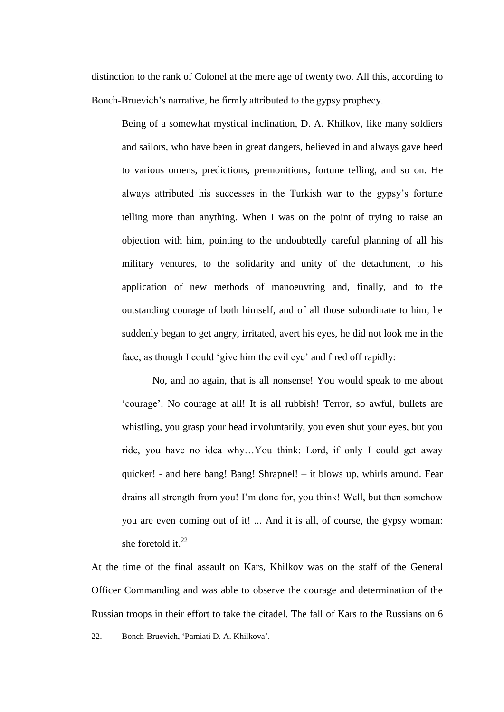distinction to the rank of Colonel at the mere age of twenty two. All this, according to Bonch-Bruevich's narrative, he firmly attributed to the gypsy prophecy.

Being of a somewhat mystical inclination, D. A. Khilkov, like many soldiers and sailors, who have been in great dangers, believed in and always gave heed to various omens, predictions, premonitions, fortune telling, and so on. He always attributed his successes in the Turkish war to the gypsy's fortune telling more than anything. When I was on the point of trying to raise an objection with him, pointing to the undoubtedly careful planning of all his military ventures, to the solidarity and unity of the detachment, to his application of new methods of manoeuvring and, finally, and to the outstanding courage of both himself, and of all those subordinate to him, he suddenly began to get angry, irritated, avert his eyes, he did not look me in the face, as though I could 'give him the evil eye' and fired off rapidly:

No, and no again, that is all nonsense! You would speak to me about 'courage'. No courage at all! It is all rubbish! Terror, so awful, bullets are whistling, you grasp your head involuntarily, you even shut your eyes, but you ride, you have no idea why…You think: Lord, if only I could get away quicker! - and here bang! Bang! Shrapnel! – it blows up, whirls around. Fear drains all strength from you! I'm done for, you think! Well, but then somehow you are even coming out of it! ... And it is all, of course, the gypsy woman: she foretold it.<sup>22</sup>

At the time of the final assault on Kars, Khilkov was on the staff of the General Officer Commanding and was able to observe the courage and determination of the Russian troops in their effort to take the citadel. The fall of Kars to the Russians on 6

22. Bonch-Bruevich, 'Pamiati D. A. Khilkova'.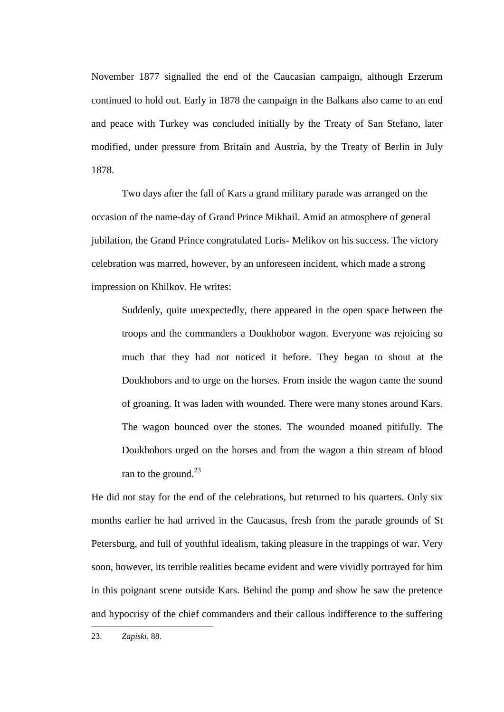November 1877 signalled the end of the Caucasian campaign, although Erzerum continued to hold out. Early in 1878 the campaign in the Balkans also came to an end and peace with Turkey was concluded initially by the Treaty of San Stefano, later modified, under pressure from Britain and Austria, by the Treaty of Berlin in July 1878.

Two days after the fall of Kars a grand military parade was arranged on the occasion of the name-day of Grand Prince Mikhail. Amid an atmosphere of general jubilation, the Grand Prince congratulated Loris- Melikov on his success. The victory celebration was marred, however, by an unforeseen incident, which made a strong impression on Khilkov. He writes:

Suddenly, quite unexpectedly, there appeared in the open space between the troops and the commanders a Doukhobor wagon. Everyone was rejoicing so much that they had not noticed it before. They began to shout at the Doukhobors and to urge on the horses. From inside the wagon came the sound of groaning. It was laden with wounded. There were many stones around Kars. The wagon bounced over the stones. The wounded moaned pitifully. The Doukhobors urged on the horses and from the wagon a thin stream of blood ran to the ground.<sup>23</sup>

He did not stay for the end of the celebrations, but returned to his quarters. Only six months earlier he had arrived in the Caucasus, fresh from the parade grounds of St Petersburg, and full of youthful idealism, taking pleasure in the trappings of war. Very soon, however, its terrible realities became evident and were vividly portrayed for him in this poignant scene outside Kars. Behind the pomp and show he saw the pretence and hypocrisy of the chief commanders and their callous indifference to the suffering

<sup>23.</sup> *Zapiski*, 88.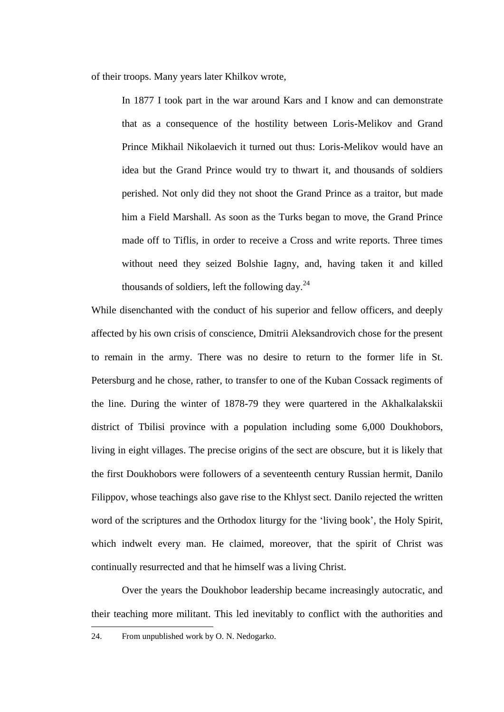of their troops. Many years later Khilkov wrote,

In 1877 I took part in the war around Kars and I know and can demonstrate that as a consequence of the hostility between Loris-Melikov and Grand Prince Mikhail Nikolaevich it turned out thus: Loris-Melikov would have an idea but the Grand Prince would try to thwart it, and thousands of soldiers perished. Not only did they not shoot the Grand Prince as a traitor, but made him a Field Marshall. As soon as the Turks began to move, the Grand Prince made off to Tiflis, in order to receive a Cross and write reports. Three times without need they seized Bolshie Iagny, and, having taken it and killed thousands of soldiers, left the following day.  $24$ 

While disenchanted with the conduct of his superior and fellow officers, and deeply affected by his own crisis of conscience, Dmitrii Aleksandrovich chose for the present to remain in the army. There was no desire to return to the former life in St. Petersburg and he chose, rather, to transfer to one of the Kuban Cossack regiments of the line. During the winter of 1878-79 they were quartered in the Akhalkalakskii district of Tbilisi province with a population including some 6,000 Doukhobors, living in eight villages. The precise origins of the sect are obscure, but it is likely that the first Doukhobors were followers of a seventeenth century Russian hermit, Danilo Filippov, whose teachings also gave rise to the Khlyst sect. Danilo rejected the written word of the scriptures and the Orthodox liturgy for the 'living book', the Holy Spirit, which indwelt every man. He claimed, moreover, that the spirit of Christ was continually resurrected and that he himself was a living Christ.

Over the years the Doukhobor leadership became increasingly autocratic, and their teaching more militant. This led inevitably to conflict with the authorities and <u>—</u>

<sup>24.</sup> From unpublished work by O. N. Nedogarko.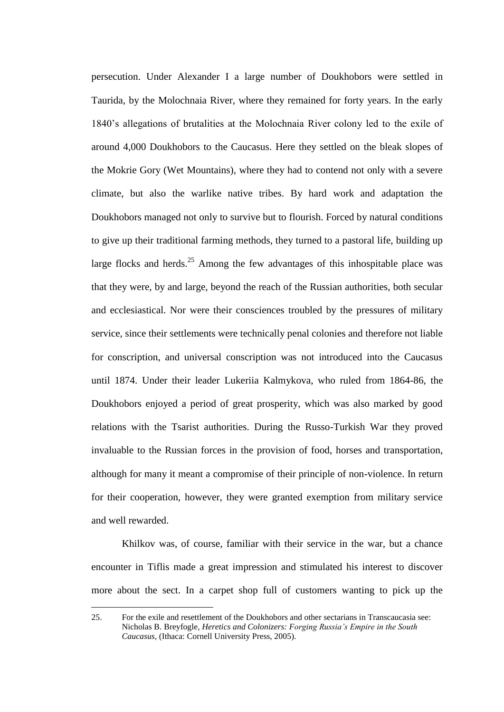persecution. Under Alexander I a large number of Doukhobors were settled in Taurida, by the Molochnaia River, where they remained for forty years. In the early 1840's allegations of brutalities at the Molochnaia River colony led to the exile of around 4,000 Doukhobors to the Caucasus. Here they settled on the bleak slopes of the Mokrie Gory (Wet Mountains), where they had to contend not only with a severe climate, but also the warlike native tribes. By hard work and adaptation the Doukhobors managed not only to survive but to flourish. Forced by natural conditions to give up their traditional farming methods, they turned to a pastoral life, building up large flocks and herds.<sup>25</sup> Among the few advantages of this inhospitable place was that they were, by and large, beyond the reach of the Russian authorities, both secular and ecclesiastical. Nor were their consciences troubled by the pressures of military service, since their settlements were technically penal colonies and therefore not liable for conscription, and universal conscription was not introduced into the Caucasus until 1874. Under their leader Lukeriia Kalmykova, who ruled from 1864-86, the Doukhobors enjoyed a period of great prosperity, which was also marked by good relations with the Tsarist authorities. During the Russo-Turkish War they proved invaluable to the Russian forces in the provision of food, horses and transportation, although for many it meant a compromise of their principle of non-violence. In return for their cooperation, however, they were granted exemption from military service and well rewarded.

Khilkov was, of course, familiar with their service in the war, but a chance encounter in Tiflis made a great impression and stimulated his interest to discover more about the sect. In a carpet shop full of customers wanting to pick up the

<sup>25.</sup> For the exile and resettlement of the Doukhobors and other sectarians in Transcaucasia see: Nicholas B. Breyfogle, *Heretics and Colonizers: Forging Russia's Empire in the South Caucasus*, (Ithaca: Cornell University Press, 2005).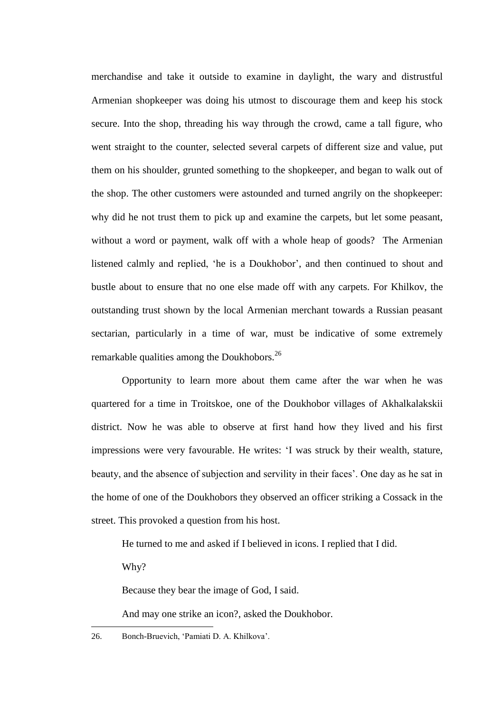merchandise and take it outside to examine in daylight, the wary and distrustful Armenian shopkeeper was doing his utmost to discourage them and keep his stock secure. Into the shop, threading his way through the crowd, came a tall figure, who went straight to the counter, selected several carpets of different size and value, put them on his shoulder, grunted something to the shopkeeper, and began to walk out of the shop. The other customers were astounded and turned angrily on the shopkeeper: why did he not trust them to pick up and examine the carpets, but let some peasant, without a word or payment, walk off with a whole heap of goods? The Armenian listened calmly and replied, 'he is a Doukhobor', and then continued to shout and bustle about to ensure that no one else made off with any carpets. For Khilkov, the outstanding trust shown by the local Armenian merchant towards a Russian peasant sectarian, particularly in a time of war, must be indicative of some extremely remarkable qualities among the Doukhobors.<sup>26</sup>

Opportunity to learn more about them came after the war when he was quartered for a time in Troitskoe, one of the Doukhobor villages of Akhalkalakskii district. Now he was able to observe at first hand how they lived and his first impressions were very favourable. He writes: 'I was struck by their wealth, stature, beauty, and the absence of subjection and servility in their faces'. One day as he sat in the home of one of the Doukhobors they observed an officer striking a Cossack in the street. This provoked a question from his host.

He turned to me and asked if I believed in icons. I replied that I did.

Why?

<u>—</u>

Because they bear the image of God, I said.

And may one strike an icon?, asked the Doukhobor.

26. Bonch-Bruevich, 'Pamiati D. A. Khilkova'.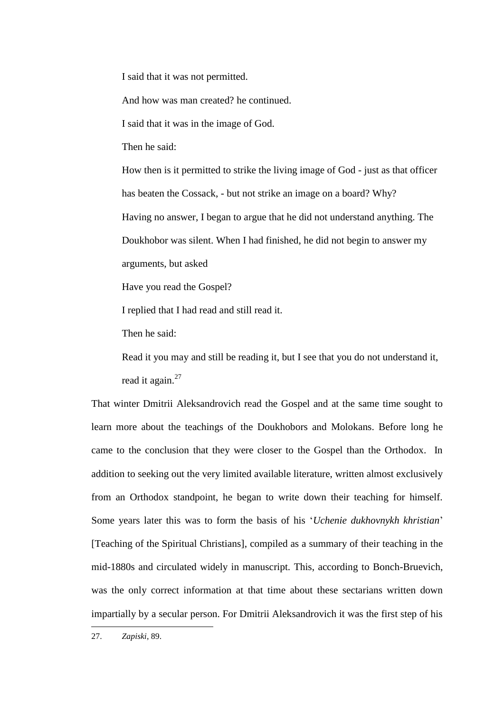I said that it was not permitted.

And how was man created? he continued.

I said that it was in the image of God.

Then he said:

How then is it permitted to strike the living image of God - just as that officer has beaten the Cossack, - but not strike an image on a board? Why? Having no answer, I began to argue that he did not understand anything. The Doukhobor was silent. When I had finished, he did not begin to answer my arguments, but asked

Have you read the Gospel?

I replied that I had read and still read it.

Then he said:

Read it you may and still be reading it, but I see that you do not understand it, read it again.<sup>27</sup>

That winter Dmitrii Aleksandrovich read the Gospel and at the same time sought to learn more about the teachings of the Doukhobors and Molokans. Before long he came to the conclusion that they were closer to the Gospel than the Orthodox. In addition to seeking out the very limited available literature, written almost exclusively from an Orthodox standpoint, he began to write down their teaching for himself. Some years later this was to form the basis of his '*Uchenie dukhovnykh khristian*' [Teaching of the Spiritual Christians], compiled as a summary of their teaching in the mid-1880s and circulated widely in manuscript. This, according to Bonch-Bruevich, was the only correct information at that time about these sectarians written down impartially by a secular person. For Dmitrii Aleksandrovich it was the first step of his

<sup>27.</sup> *Zapiski*, 89.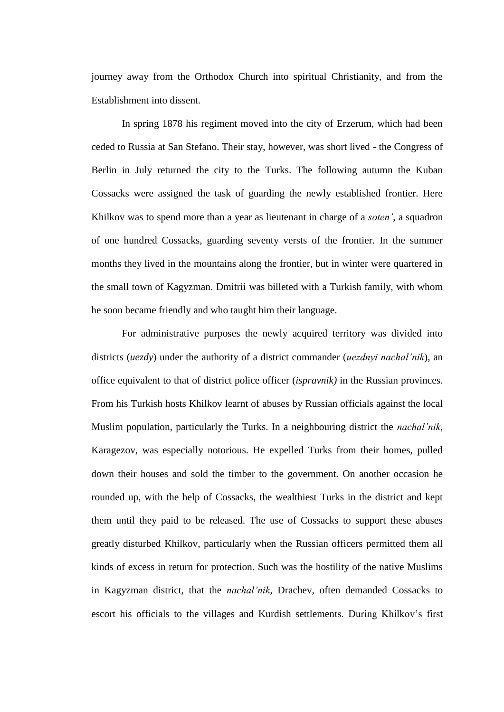journey away from the Orthodox Church into spiritual Christianity, and from the Establishment into dissent.

In spring 1878 his regiment moved into the city of Erzerum, which had been ceded to Russia at San Stefano. Their stay, however, was short lived - the Congress of Berlin in July returned the city to the Turks. The following autumn the Kuban Cossacks were assigned the task of guarding the newly established frontier. Here Khilkov was to spend more than a year as lieutenant in charge of a *soten'*, a squadron of one hundred Cossacks, guarding seventy versts of the frontier. In the summer months they lived in the mountains along the frontier, but in winter were quartered in the small town of Kagyzman. Dmitrii was billeted with a Turkish family, with whom he soon became friendly and who taught him their language.

For administrative purposes the newly acquired territory was divided into districts (*uezdy*) under the authority of a district commander (*uezdnyi nachal'nik*), an office equivalent to that of district police officer (*ispravnik)* in the Russian provinces. From his Turkish hosts Khilkov learnt of abuses by Russian officials against the local Muslim population, particularly the Turks. In a neighbouring district the *nachal'nik*, Karagezov, was especially notorious. He expelled Turks from their homes, pulled down their houses and sold the timber to the government. On another occasion he rounded up, with the help of Cossacks, the wealthiest Turks in the district and kept them until they paid to be released. The use of Cossacks to support these abuses greatly disturbed Khilkov, particularly when the Russian officers permitted them all kinds of excess in return for protection. Such was the hostility of the native Muslims in Kagyzman district, that the *nachal'nik*, Drachev, often demanded Cossacks to escort his officials to the villages and Kurdish settlements. During Khilkov's first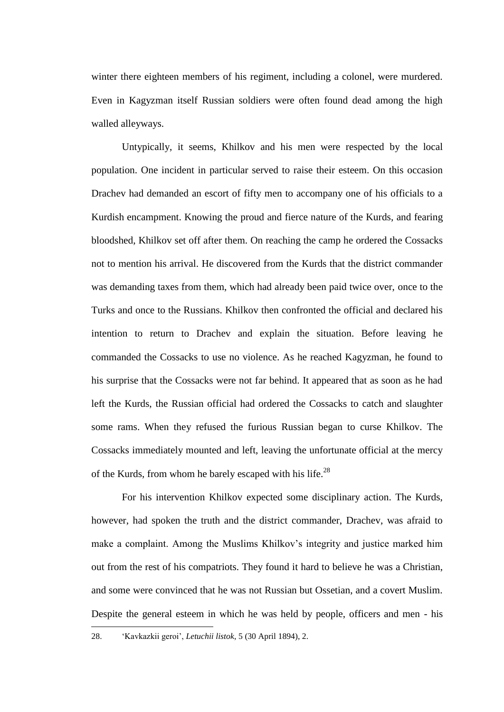winter there eighteen members of his regiment, including a colonel, were murdered. Even in Kagyzman itself Russian soldiers were often found dead among the high walled alleyways.

Untypically, it seems, Khilkov and his men were respected by the local population. One incident in particular served to raise their esteem. On this occasion Drachev had demanded an escort of fifty men to accompany one of his officials to a Kurdish encampment. Knowing the proud and fierce nature of the Kurds, and fearing bloodshed, Khilkov set off after them. On reaching the camp he ordered the Cossacks not to mention his arrival. He discovered from the Kurds that the district commander was demanding taxes from them, which had already been paid twice over, once to the Turks and once to the Russians. Khilkov then confronted the official and declared his intention to return to Drachev and explain the situation. Before leaving he commanded the Cossacks to use no violence. As he reached Kagyzman, he found to his surprise that the Cossacks were not far behind. It appeared that as soon as he had left the Kurds, the Russian official had ordered the Cossacks to catch and slaughter some rams. When they refused the furious Russian began to curse Khilkov. The Cossacks immediately mounted and left, leaving the unfortunate official at the mercy of the Kurds, from whom he barely escaped with his life.<sup>28</sup>

For his intervention Khilkov expected some disciplinary action. The Kurds, however, had spoken the truth and the district commander, Drachev, was afraid to make a complaint. Among the Muslims Khilkov's integrity and justice marked him out from the rest of his compatriots. They found it hard to believe he was a Christian, and some were convinced that he was not Russian but Ossetian, and a covert Muslim. Despite the general esteem in which he was held by people, officers and men - his

<sup>28.</sup> 'Kavkazkii geroi', *Letuchii listok*, 5 (30 April 1894), 2.